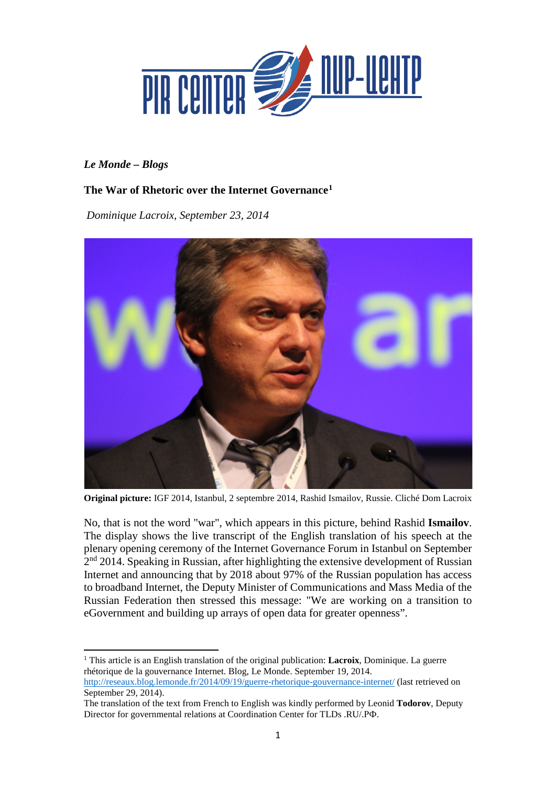

## *Le Monde – Blogs*

 $\overline{a}$ 

# **The War of Rhetoric over the Internet Governance[1](#page-0-0)**

*Dominique Lacroix, September 23, 2014*



**Original picture:** IGF 2014, Istanbul, 2 septembre 2014, Rashid Ismailov, Russie. Cliché Dom Lacroix

No, that is not the word "war", which appears in this picture, behind Rashid **Ismailov**. The display shows the live transcript of the English translation of his speech at the plenary opening ceremony of the Internet Governance Forum in Istanbul on September 2<sup>nd</sup> 2014. Speaking in Russian, after highlighting the extensive development of Russian Internet and announcing that by 2018 about 97% of the Russian population has access to broadband Internet, the Deputy Minister of Communications and Mass Media of the Russian Federation then stressed this message: "We are working on a transition to eGovernment and building up arrays of open data for greater openness".

<span id="page-0-0"></span><sup>1</sup> This article is an English translation of the original publication: **Lacroix**, Dominique. La guerre rhétorique de la gouvernance Internet. Blog, Le Monde. September 19, 2014. <http://reseaux.blog.lemonde.fr/2014/09/19/guerre-rhetorique-gouvernance-internet/> (last retrieved on September 29, 2014).

The translation of the text from French to English was kindly performed by Leonid **Todorov**, Deputy Director for governmental relations at Coordination Center for TLDs .RU/.РФ.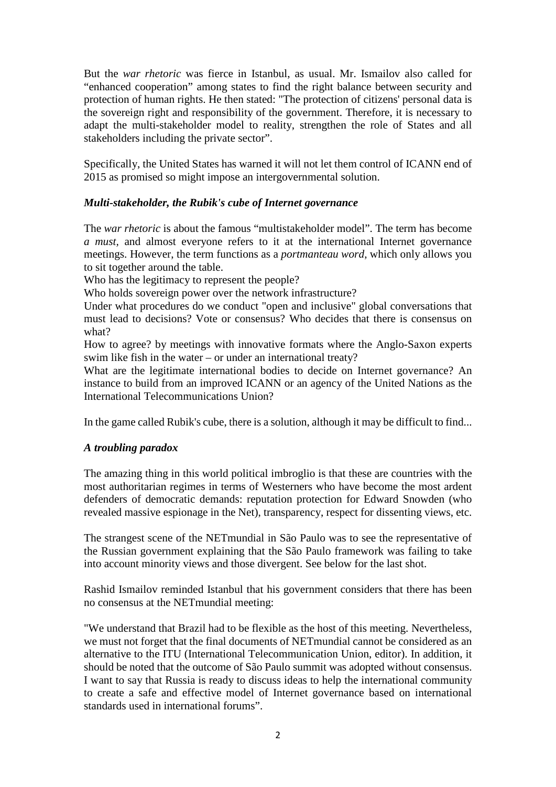But the *war rhetoric* was fierce in Istanbul, as usual. Mr. Ismailov also called for "enhanced cooperation" among states to find the right balance between security and protection of human rights. He then stated: "The protection of citizens' personal data is the sovereign right and responsibility of the government. Therefore, it is necessary to adapt the multi-stakeholder model to reality, strengthen the role of States and all stakeholders including the private sector".

Specifically, the United States has warned it will not let them control of ICANN end of 2015 as promised so might impose an intergovernmental solution.

### *Multi-stakeholder, the Rubik's cube of Internet governance*

The *war rhetoric* is about the famous "multistakeholder model". The term has become *a must,* and almost everyone refers to it at the international Internet governance meetings. However, the term functions as a *portmanteau word*, which only allows you to sit together around the table.

Who has the legitimacy to represent the people?

Who holds sovereign power over the network infrastructure?

Under what procedures do we conduct "open and inclusive" global conversations that must lead to decisions? Vote or consensus? Who decides that there is consensus on what?

How to agree? by meetings with innovative formats where the Anglo-Saxon experts swim like fish in the water – or under an international treaty?

What are the legitimate international bodies to decide on Internet governance? An instance to build from an improved ICANN or an agency of the United Nations as the International Telecommunications Union?

In the game called Rubik's cube, there is a solution, although it may be difficult to find...

### *A troubling paradox*

The amazing thing in this world political imbroglio is that these are countries with the most authoritarian regimes in terms of Westerners who have become the most ardent defenders of democratic demands: reputation protection for Edward Snowden (who revealed massive espionage in the Net), transparency, respect for dissenting views, etc.

The strangest scene of the NETmundial in São Paulo was to see the representative of the Russian government explaining that the São Paulo framework was failing to take into account minority views and those divergent. See below for the last shot.

Rashid Ismailov reminded Istanbul that his government considers that there has been no consensus at the NETmundial meeting:

"We understand that Brazil had to be flexible as the host of this meeting. Nevertheless, we must not forget that the final documents of NETmundial cannot be considered as an alternative to the ITU (International Telecommunication Union, editor). In addition, it should be noted that the outcome of São Paulo summit was adopted without consensus. I want to say that Russia is ready to discuss ideas to help the international community to create a safe and effective model of Internet governance based on international standards used in international forums".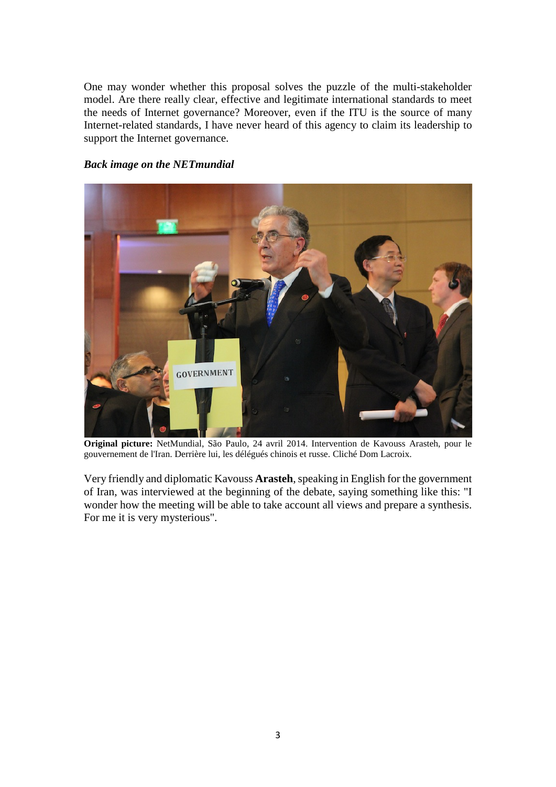One may wonder whether this proposal solves the puzzle of the multi-stakeholder model. Are there really clear, effective and legitimate international standards to meet the needs of Internet governance? Moreover, even if the ITU is the source of many Internet-related standards, I have never heard of this agency to claim its leadership to support the Internet governance.

#### *Back image on the NETmundial*



**Original picture:** NetMundial, São Paulo, 24 avril 2014. Intervention de Kavouss Arasteh, pour le gouvernement de l'Iran. Derrière lui, les délégués chinois et russe. Cliché Dom Lacroix.

Very friendly and diplomatic Kavouss **Arasteh**, speaking in English for the government of Iran, was interviewed at the beginning of the debate, saying something like this: "I wonder how the meeting will be able to take account all views and prepare a synthesis. For me it is very mysterious".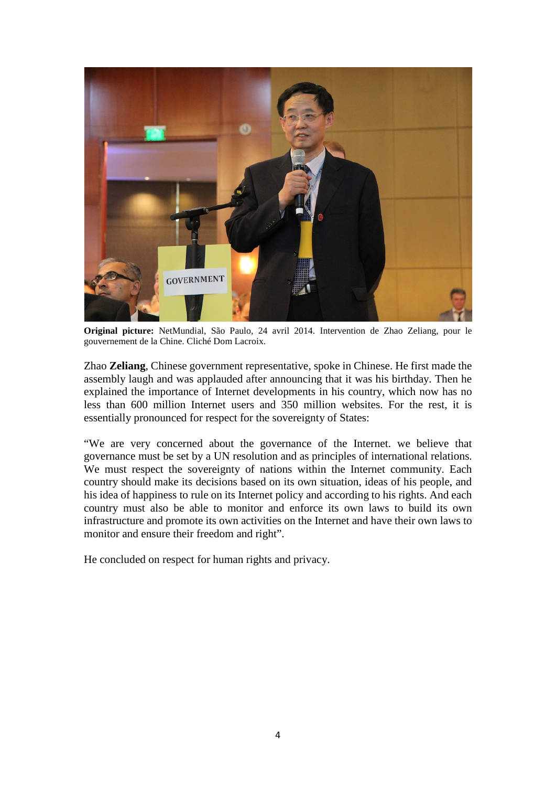

**Original picture:** NetMundial, São Paulo, 24 avril 2014. Intervention de Zhao Zeliang, pour le gouvernement de la Chine. Cliché Dom Lacroix.

Zhao **Zeliang**, Chinese government representative, spoke in Chinese. He first made the assembly laugh and was applauded after announcing that it was his birthday. Then he explained the importance of Internet developments in his country, which now has no less than 600 million Internet users and 350 million websites. For the rest, it is essentially pronounced for respect for the sovereignty of States:

"We are very concerned about the governance of the Internet. we believe that governance must be set by a UN resolution and as principles of international relations. We must respect the sovereignty of nations within the Internet community. Each country should make its decisions based on its own situation, ideas of his people, and his idea of happiness to rule on its Internet policy and according to his rights. And each country must also be able to monitor and enforce its own laws to build its own infrastructure and promote its own activities on the Internet and have their own laws to monitor and ensure their freedom and right".

He concluded on respect for human rights and privacy.